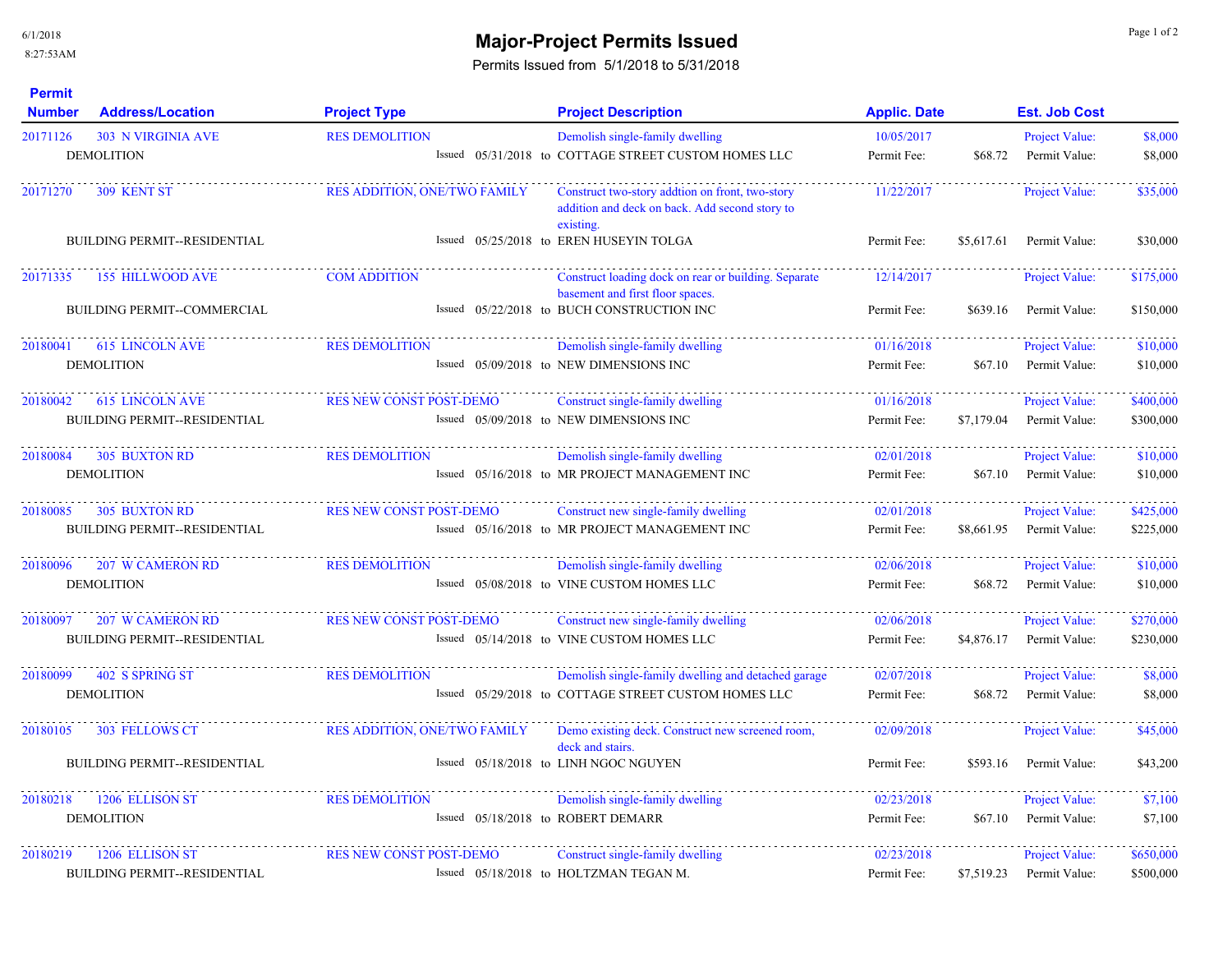## **Major-Project Permits Issued** and the contract of the contract of the contract of the contract of the contract of the contract of the contract of the contract of the contract of the contract of the contract of the contrac

Permits Issued from 5/1/2018 to 5/31/2018

| <b>Permit</b><br><b>Number</b><br><b>Address/Location</b> | <b>Project Type</b>                 | <b>Project Description</b>                                                                                     | <b>Applic. Date</b> | <b>Est. Job Cost</b>        |           |
|-----------------------------------------------------------|-------------------------------------|----------------------------------------------------------------------------------------------------------------|---------------------|-----------------------------|-----------|
| 20171126<br><b>303 N VIRGINIA AVE</b>                     | <b>RES DEMOLITION</b>               | Demolish single-family dwelling                                                                                | 10/05/2017          | Project Value:              | \$8,000   |
| <b>DEMOLITION</b>                                         |                                     | Issued 05/31/2018 to COTTAGE STREET CUSTOM HOMES LLC                                                           | Permit Fee:         | \$68.72<br>Permit Value:    | \$8,000   |
| <b>309 KENT ST</b><br>20171270                            | <b>RES ADDITION, ONE/TWO FAMILY</b> | Construct two-story addtion on front, two-story<br>addition and deck on back. Add second story to<br>existing. | 11/22/2017          | Project Value:              | \$35,000  |
| <b>BUILDING PERMIT--RESIDENTIAL</b>                       |                                     | Issued 05/25/2018 to EREN HUSEYIN TOLGA                                                                        | Permit Fee:         | \$5,617.61<br>Permit Value: | \$30,000  |
| 20171335<br>155 HILLWOOD AVE                              | <b>COM ADDITION</b>                 | Construct loading dock on rear or building. Separate<br>basement and first floor spaces.                       | 12/14/2017          | Project Value:              | \$175,000 |
| <b>BUILDING PERMIT--COMMERCIAL</b>                        |                                     | Issued 05/22/2018 to BUCH CONSTRUCTION INC                                                                     | Permit Fee:         | \$639.16<br>Permit Value:   | \$150,000 |
| <b>615 LINCOLN AVE</b><br>20180041                        | <b>RES DEMOLITION</b>               | Demolish single-family dwelling                                                                                | 01/16/2018          | Project Value:              | \$10,000  |
| <b>DEMOLITION</b>                                         |                                     | Issued 05/09/2018 to NEW DIMENSIONS INC                                                                        | Permit Fee:         | \$67.10<br>Permit Value:    | \$10,000  |
| <b>615 LINCOLN AVE</b><br>20180042                        | <b>RES NEW CONST POST-DEMO</b>      | Construct single-family dwelling                                                                               | 01/16/2018          | Project Value:              | \$400,000 |
| <b>BUILDING PERMIT--RESIDENTIAL</b>                       |                                     | Issued 05/09/2018 to NEW DIMENSIONS INC                                                                        | Permit Fee:         | \$7,179.04<br>Permit Value: | \$300,000 |
| 20180084<br><b>305 BUXTON RD</b>                          | <b>RES DEMOLITION</b>               | Demolish single-family dwelling                                                                                | 02/01/2018          | Project Value:              | \$10,000  |
| <b>DEMOLITION</b>                                         |                                     | Issued 05/16/2018 to MR PROJECT MANAGEMENT INC                                                                 | Permit Fee:         | \$67.10<br>Permit Value:    | \$10,000  |
| 20180085<br><b>305 BUXTON RD</b>                          | <b>RES NEW CONST POST-DEMO</b>      | Construct new single-family dwelling                                                                           | 02/01/2018          | Project Value:              | \$425,000 |
| <b>BUILDING PERMIT--RESIDENTIAL</b>                       |                                     | Issued 05/16/2018 to MR PROJECT MANAGEMENT INC                                                                 | Permit Fee:         | \$8,661.95<br>Permit Value: | \$225,000 |
| 20180096<br><b>207 W CAMERON RD</b>                       | <b>RES DEMOLITION</b>               | Demolish single-family dwelling                                                                                | 02/06/2018          | Project Value:              | \$10,000  |
| <b>DEMOLITION</b>                                         |                                     | Issued 05/08/2018 to VINE CUSTOM HOMES LLC                                                                     | Permit Fee:         | Permit Value:<br>\$68.72    | \$10,000  |
| 20180097<br><b>207 W CAMERON RD</b>                       | <b>RES NEW CONST POST-DEMO</b>      | Construct new single-family dwelling                                                                           | 02/06/2018          | Project Value:              | \$270,000 |
| BUILDING PERMIT--RESIDENTIAL                              |                                     | Issued 05/14/2018 to VINE CUSTOM HOMES LLC                                                                     | Permit Fee:         | \$4,876.17<br>Permit Value: | \$230,000 |
| 20180099<br>402 S SPRING ST                               | <b>RES DEMOLITION</b>               | Demolish single-family dwelling and detached garage                                                            | 02/07/2018          | Project Value:              | \$8,000   |
| <b>DEMOLITION</b>                                         |                                     | Issued 05/29/2018 to COTTAGE STREET CUSTOM HOMES LLC                                                           | Permit Fee:         | \$68.72<br>Permit Value:    | \$8,000   |
| 20180105<br><b>303 FELLOWS CT</b>                         | RES ADDITION, ONE/TWO FAMILY        | Demo existing deck. Construct new screened room,                                                               | 02/09/2018          | Project Value:              | \$45,000  |
| <b>BUILDING PERMIT--RESIDENTIAL</b>                       |                                     | deck and stairs.<br>Issued 05/18/2018 to LINH NGOC NGUYEN                                                      | Permit Fee:         | \$593.16<br>Permit Value:   | \$43,200  |
| 1206 ELLISON ST<br>20180218                               | <b>RES DEMOLITION</b>               | Demolish single-family dwelling                                                                                | 02/23/2018          | Project Value:              | \$7,100   |
| <b>DEMOLITION</b>                                         |                                     | Issued 05/18/2018 to ROBERT DEMARR                                                                             | Permit Fee:         | \$67.10<br>Permit Value:    | \$7,100   |
| 20180219<br>1206 ELLISON ST                               | <b>RES NEW CONST POST-DEMO</b>      | Construct single-family dwelling                                                                               | 02/23/2018          | <b>Project Value:</b>       | \$650,000 |
| <b>BUILDING PERMIT--RESIDENTIAL</b>                       |                                     | Issued 05/18/2018 to HOLTZMAN TEGAN M.                                                                         | Permit Fee:         | \$7,519.23<br>Permit Value: | \$500,000 |